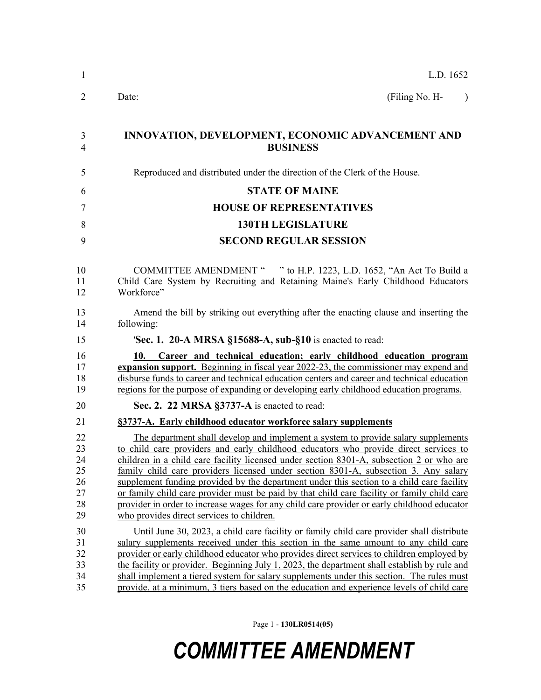| 1                                            | L.D. 1652                                                                                                                                                                                                                                                                                                                                                                                                                                                                                                                                                                                                                                                                                            |  |  |  |
|----------------------------------------------|------------------------------------------------------------------------------------------------------------------------------------------------------------------------------------------------------------------------------------------------------------------------------------------------------------------------------------------------------------------------------------------------------------------------------------------------------------------------------------------------------------------------------------------------------------------------------------------------------------------------------------------------------------------------------------------------------|--|--|--|
| 2                                            | (Filing No. H-<br>Date:<br>$\lambda$                                                                                                                                                                                                                                                                                                                                                                                                                                                                                                                                                                                                                                                                 |  |  |  |
| 3<br>4                                       | INNOVATION, DEVELOPMENT, ECONOMIC ADVANCEMENT AND<br><b>BUSINESS</b>                                                                                                                                                                                                                                                                                                                                                                                                                                                                                                                                                                                                                                 |  |  |  |
| 5                                            | Reproduced and distributed under the direction of the Clerk of the House.                                                                                                                                                                                                                                                                                                                                                                                                                                                                                                                                                                                                                            |  |  |  |
| 6                                            | <b>STATE OF MAINE</b>                                                                                                                                                                                                                                                                                                                                                                                                                                                                                                                                                                                                                                                                                |  |  |  |
| 7                                            | <b>HOUSE OF REPRESENTATIVES</b>                                                                                                                                                                                                                                                                                                                                                                                                                                                                                                                                                                                                                                                                      |  |  |  |
| 8                                            | <b>130TH LEGISLATURE</b>                                                                                                                                                                                                                                                                                                                                                                                                                                                                                                                                                                                                                                                                             |  |  |  |
| 9                                            | <b>SECOND REGULAR SESSION</b>                                                                                                                                                                                                                                                                                                                                                                                                                                                                                                                                                                                                                                                                        |  |  |  |
|                                              |                                                                                                                                                                                                                                                                                                                                                                                                                                                                                                                                                                                                                                                                                                      |  |  |  |
| 10<br>11<br>12                               | <b>COMMITTEE AMENDMENT "</b><br>" to H.P. 1223, L.D. 1652, "An Act To Build a<br>Child Care System by Recruiting and Retaining Maine's Early Childhood Educators<br>Workforce"                                                                                                                                                                                                                                                                                                                                                                                                                                                                                                                       |  |  |  |
| 13<br>14                                     | Amend the bill by striking out everything after the enacting clause and inserting the<br>following:                                                                                                                                                                                                                                                                                                                                                                                                                                                                                                                                                                                                  |  |  |  |
| 15                                           | <b>Sec. 1. 20-A MRSA §15688-A, sub-§10</b> is enacted to read:                                                                                                                                                                                                                                                                                                                                                                                                                                                                                                                                                                                                                                       |  |  |  |
| 16<br>17<br>18<br>19                         | 10. Career and technical education; early childhood education program<br>expansion support. Beginning in fiscal year 2022-23, the commissioner may expend and<br>disburse funds to career and technical education centers and career and technical education<br>regions for the purpose of expanding or developing early childhood education programs.                                                                                                                                                                                                                                                                                                                                               |  |  |  |
| 20                                           | Sec. 2. 22 MRSA §3737-A is enacted to read:                                                                                                                                                                                                                                                                                                                                                                                                                                                                                                                                                                                                                                                          |  |  |  |
| 21                                           | §3737-A. Early childhood educator workforce salary supplements                                                                                                                                                                                                                                                                                                                                                                                                                                                                                                                                                                                                                                       |  |  |  |
| 22<br>23<br>24<br>25<br>26<br>27<br>28<br>29 | The department shall develop and implement a system to provide salary supplements<br>to child care providers and early childhood educators who provide direct services to<br>children in a child care facility licensed under section 8301-A, subsection 2 or who are<br>family child care providers licensed under section 8301-A, subsection 3. Any salary<br>supplement funding provided by the department under this section to a child care facility<br>or family child care provider must be paid by that child care facility or family child care<br>provider in order to increase wages for any child care provider or early childhood educator<br>who provides direct services to children. |  |  |  |
| 30<br>31<br>32<br>33<br>34<br>35             | Until June 30, 2023, a child care facility or family child care provider shall distribute<br>salary supplements received under this section in the same amount to any child care<br>provider or early childhood educator who provides direct services to children employed by<br>the facility or provider. Beginning July 1, 2023, the department shall establish by rule and<br>shall implement a tiered system for salary supplements under this section. The rules must<br>provide, at a minimum, 3 tiers based on the education and experience levels of child care                                                                                                                              |  |  |  |

Page 1 - **130LR0514(05)**

## *COMMITTEE AMENDMENT*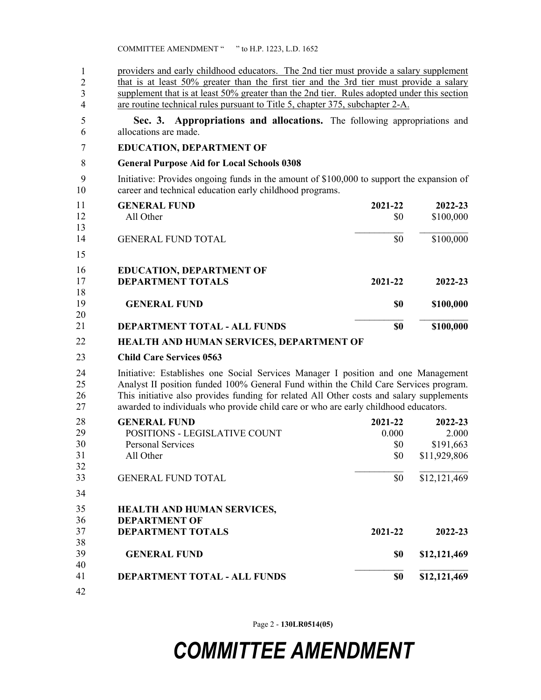| $\mathbf{1}$<br>$\overline{2}$<br>3<br>$\overline{4}$ | providers and early childhood educators. The 2nd tier must provide a salary supplement<br>that is at least 50% greater than the first tier and the 3rd tier must provide a salary<br>supplement that is at least 50% greater than the 2nd tier. Rules adopted under this section<br>are routine technical rules pursuant to Title 5, chapter 375, subchapter 2-A. |         |              |  |
|-------------------------------------------------------|-------------------------------------------------------------------------------------------------------------------------------------------------------------------------------------------------------------------------------------------------------------------------------------------------------------------------------------------------------------------|---------|--------------|--|
| 5<br>6                                                | Sec. 3. Appropriations and allocations. The following appropriations and<br>allocations are made.                                                                                                                                                                                                                                                                 |         |              |  |
| $\overline{7}$                                        | <b>EDUCATION, DEPARTMENT OF</b>                                                                                                                                                                                                                                                                                                                                   |         |              |  |
| 8                                                     | <b>General Purpose Aid for Local Schools 0308</b>                                                                                                                                                                                                                                                                                                                 |         |              |  |
| 9<br>10                                               | Initiative: Provides ongoing funds in the amount of \$100,000 to support the expansion of<br>career and technical education early childhood programs.                                                                                                                                                                                                             |         |              |  |
| 11                                                    | <b>GENERAL FUND</b>                                                                                                                                                                                                                                                                                                                                               | 2021-22 | 2022-23      |  |
| 12<br>13                                              | All Other                                                                                                                                                                                                                                                                                                                                                         | \$0     | \$100,000    |  |
| 14                                                    | <b>GENERAL FUND TOTAL</b>                                                                                                                                                                                                                                                                                                                                         | \$0     | \$100,000    |  |
| 15                                                    |                                                                                                                                                                                                                                                                                                                                                                   |         |              |  |
| 16<br>17<br>18                                        | <b>EDUCATION, DEPARTMENT OF</b><br><b>DEPARTMENT TOTALS</b>                                                                                                                                                                                                                                                                                                       | 2021-22 | 2022-23      |  |
| 19<br>20                                              | <b>GENERAL FUND</b>                                                                                                                                                                                                                                                                                                                                               | \$0     | \$100,000    |  |
|                                                       |                                                                                                                                                                                                                                                                                                                                                                   |         |              |  |
| 21                                                    | <b>DEPARTMENT TOTAL - ALL FUNDS</b>                                                                                                                                                                                                                                                                                                                               | \$0     | \$100,000    |  |
| 22                                                    | HEALTH AND HUMAN SERVICES, DEPARTMENT OF                                                                                                                                                                                                                                                                                                                          |         |              |  |
| 23                                                    | <b>Child Care Services 0563</b>                                                                                                                                                                                                                                                                                                                                   |         |              |  |
| 24<br>25<br>26<br>27                                  | Initiative: Establishes one Social Services Manager I position and one Management<br>Analyst II position funded 100% General Fund within the Child Care Services program.<br>This initiative also provides funding for related All Other costs and salary supplements<br>awarded to individuals who provide child care or who are early childhood educators.      |         |              |  |
| 28                                                    | <b>GENERAL FUND</b>                                                                                                                                                                                                                                                                                                                                               | 2021-22 | 2022-23      |  |
| 29                                                    | POSITIONS - LEGISLATIVE COUNT                                                                                                                                                                                                                                                                                                                                     | 0.000   | 2.000        |  |
| 30                                                    | <b>Personal Services</b>                                                                                                                                                                                                                                                                                                                                          | \$0     | \$191,663    |  |
| 31                                                    | All Other                                                                                                                                                                                                                                                                                                                                                         | \$0     | \$11,929,806 |  |
| 32                                                    |                                                                                                                                                                                                                                                                                                                                                                   |         |              |  |
| 33<br>34                                              | <b>GENERAL FUND TOTAL</b>                                                                                                                                                                                                                                                                                                                                         | \$0     | \$12,121,469 |  |
| 35                                                    | HEALTH AND HUMAN SERVICES,                                                                                                                                                                                                                                                                                                                                        |         |              |  |
| 36                                                    | <b>DEPARTMENT OF</b>                                                                                                                                                                                                                                                                                                                                              |         |              |  |
| 37<br>38                                              | <b>DEPARTMENT TOTALS</b>                                                                                                                                                                                                                                                                                                                                          | 2021-22 | 2022-23      |  |

**DEPARTMENT TOTAL - ALL FUNDS \$0 \$12,121,469** 35 4240 41

Page 2 - **130LR0514(05)**